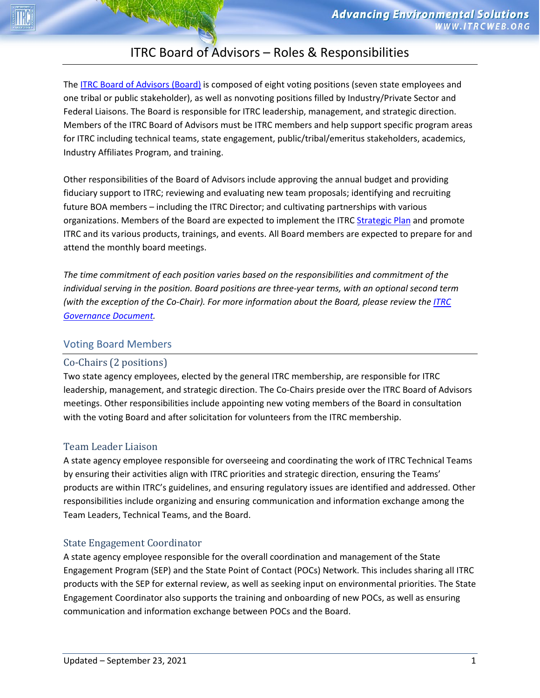# ITRC Board of Advisors – Roles & Responsibilities

The [ITRC Board of Advisors \(Board\)](https://itrcweb.org/about/boardofadvisors) is composed of eight voting positions (seven state employees and one tribal or public stakeholder), as well as nonvoting positions filled by Industry/Private Sector and Federal Liaisons. The Board is responsible for ITRC leadership, management, and strategic direction. Members of the ITRC Board of Advisors must be ITRC members and help support specific program areas for ITRC including technical teams, state engagement, public/tribal/emeritus stakeholders, academics, Industry Affiliates Program, and training.

Other responsibilities of the Board of Advisors include approving the annual budget and providing fiduciary support to ITRC; reviewing and evaluating new team proposals; identifying and recruiting future BOA members – including the ITRC Director; and cultivating partnerships with various organizations. Members of the Board are expected to implement the ITRC [Strategic Plan](https://itrcweb.org/about/about#StrategicPlan) and promote ITRC and its various products, trainings, and events. All Board members are expected to prepare for and attend the monthly board meetings.

*The time commitment of each position varies based on the responsibilities and commitment of the individual serving in the position. Board positions are three-year terms, with an optional second term (with the exception of the Co-Chair). For more information about the Board, please review th[e ITRC](https://itrcweb.org/about/about#governance)  [Governance Document.](https://itrcweb.org/about/about#governance)* 

# Voting Board Members

# Co-Chairs (2 positions)

Two state agency employees, elected by the general ITRC membership, are responsible for ITRC leadership, management, and strategic direction. The Co-Chairs preside over the ITRC Board of Advisors meetings. Other responsibilities include appointing new voting members of the Board in consultation with the voting Board and after solicitation for volunteers from the ITRC membership.

# Team Leader Liaison

A state agency employee responsible for overseeing and coordinating the work of ITRC Technical Teams by ensuring their activities align with ITRC priorities and strategic direction, ensuring the Teams' products are within ITRC's guidelines, and ensuring regulatory issues are identified and addressed. Other responsibilities include organizing and ensuring communication and information exchange among the Team Leaders, Technical Teams, and the Board.

# State Engagement Coordinator

A state agency employee responsible for the overall coordination and management of the State Engagement Program (SEP) and the State Point of Contact (POCs) Network. This includes sharing all ITRC products with the SEP for external review, as well as seeking input on environmental priorities. The State Engagement Coordinator also supports the training and onboarding of new POCs, as well as ensuring communication and information exchange between POCs and the Board.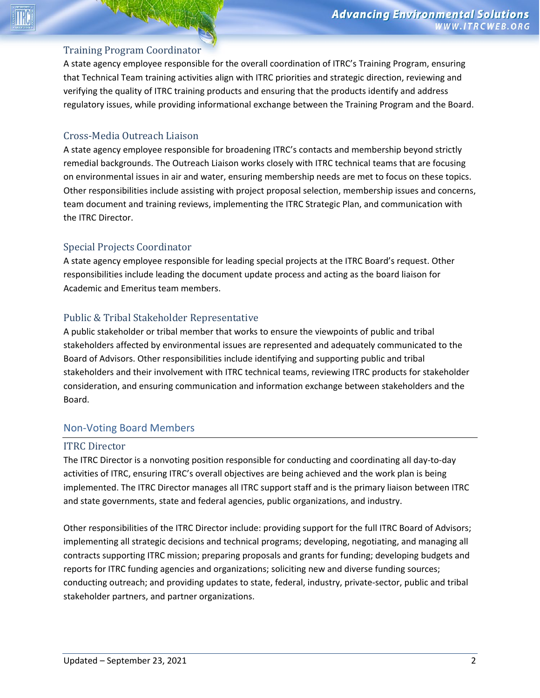#### Training Program Coordinator

A state agency employee responsible for the overall coordination of ITRC's Training Program, ensuring that Technical Team training activities align with ITRC priorities and strategic direction, reviewing and verifying the quality of ITRC training products and ensuring that the products identify and address regulatory issues, while providing informational exchange between the Training Program and the Board.

## Cross-Media Outreach Liaison

A state agency employee responsible for broadening ITRC's contacts and membership beyond strictly remedial backgrounds. The Outreach Liaison works closely with ITRC technical teams that are focusing on environmental issues in air and water, ensuring membership needs are met to focus on these topics. Other responsibilities include assisting with project proposal selection, membership issues and concerns, team document and training reviews, implementing the ITRC Strategic Plan, and communication with the ITRC Director.

### Special Projects Coordinator

A state agency employee responsible for leading special projects at the ITRC Board's request. Other responsibilities include leading the document update process and acting as the board liaison for Academic and Emeritus team members.

# Public & Tribal Stakeholder Representative

A public stakeholder or tribal member that works to ensure the viewpoints of public and tribal stakeholders affected by environmental issues are represented and adequately communicated to the Board of Advisors. Other responsibilities include identifying and supporting public and tribal stakeholders and their involvement with ITRC technical teams, reviewing ITRC products for stakeholder consideration, and ensuring communication and information exchange between stakeholders and the Board.

#### Non-Voting Board Members

#### ITRC Director

The ITRC Director is a nonvoting position responsible for conducting and coordinating all day-to-day activities of ITRC, ensuring ITRC's overall objectives are being achieved and the work plan is being implemented. The ITRC Director manages all ITRC support staff and is the primary liaison between ITRC and state governments, state and federal agencies, public organizations, and industry.

Other responsibilities of the ITRC Director include: providing support for the full ITRC Board of Advisors; implementing all strategic decisions and technical programs; developing, negotiating, and managing all contracts supporting ITRC mission; preparing proposals and grants for funding; developing budgets and reports for ITRC funding agencies and organizations; soliciting new and diverse funding sources; conducting outreach; and providing updates to state, federal, industry, private-sector, public and tribal stakeholder partners, and partner organizations.